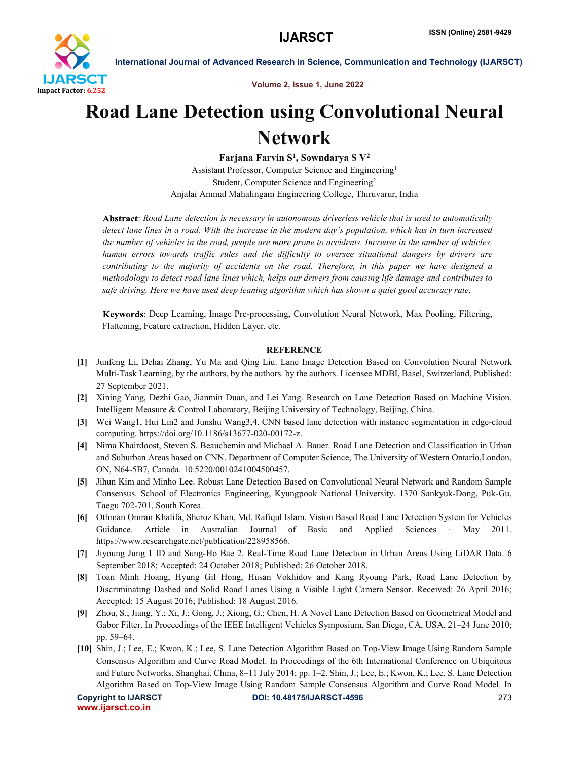

International Journal of Advanced Research in Science, Communication and Technology (IJARSCT)

Volume 2, Issue 1, June 2022

## Road Lane Detection using Convolutional Neural Network

Farjana Farvin  $S^1$ , Sowndarya S  $V^2$ Assistant Professor, Computer Science and Engineering1 Student, Computer Science and Engineering2 Anjalai Ammal Mahalingam Engineering College, Thiruvarur, India

*Road Lane detection is necessary in autonomous driverless vehicle that is used to automatically detect lane lines in a road. With the increase in the modern day's population, which has in turn increased the number of vehicles in the road, people are more prone to accidents. Increase in the number of vehicles, human errors towards traffic rules and the difficulty to oversee situational dangers by drivers are contributing to the majority of accidents on the road. Therefore, in this paper we have designed a methodology to detect road lane lines which, helps our drivers from causing life damage and contributes to safe driving. Here we have used deep leaning algorithm which has shown a quiet good accuracy rate.*

Deep Learning, Image Pre-processing, Convolution Neural Network, Max Pooling, Filtering, Flattening, Feature extraction, Hidden Layer, etc.

## **REFERENCE**

- [1] Junfeng Li, Dehai Zhang, Yu Ma and Qing Liu. Lane Image Detection Based on Convolution Neural Network Multi-Task Learning, by the authors, by the authors. by the authors. Licensee MDBI, Basel, Switzerland, Published: 27 September 2021.
- [2] Xining Yang, Dezhi Gao, Jianmin Duan, and Lei Yang. Research on Lane Detection Based on Machine Vision. Intelligent Measure & Control Laboratory, Beijing University of Technology, Beijing, China.
- [3] Wei Wang1, Hui Lin2 and Junshu Wang3,4. CNN based lane detection with instance segmentation in edge-cloud computing. https://doi.org/10.1186/s13677-020-00172-z.
- [4] Nima Khairdoost, Steven S. Beauchemin and Michael A. Bauer. Road Lane Detection and Classification in Urban and Suburban Areas based on CNN. Department of Computer Science, The University of Western Ontario,London, ON, N64-5B7, Canada. 10.5220/0010241004500457.
- [5] Jihun Kim and Minho Lee. Robust Lane Detection Based on Convolutional Neural Network and Random Sample Consensus. School of Electronics Engineering, Kyungpook National University. 1370 Sankyuk-Dong, Puk-Gu, Taegu 702-701, South Korea.
- [6] Othman Omran Khalifa, Sheroz Khan, Md. Rafiqul Islam. Vision Based Road Lane Detection System for Vehicles Guidance. Article in Australian Journal of Basic and Applied Sciences · May 2011. https://www.researchgate.net/publication/228958566.
- [7] Jiyoung Jung 1 ID and Sung-Ho Bae 2. Real-Time Road Lane Detection in Urban Areas Using LiDAR Data. 6 September 2018; Accepted: 24 October 2018; Published: 26 October 2018.
- [8] Toan Minh Hoang, Hyung Gil Hong, Husan Vokhidov and Kang Ryoung Park, Road Lane Detection by Discriminating Dashed and Solid Road Lanes Using a Visible Light Camera Sensor. Received: 26 April 2016; Accepted: 15 August 2016; Published: 18 August 2016.
- [9] Zhou, S.; Jiang, Y.; Xi, J.; Gong, J.; Xiong, G.; Chen, H. A Novel Lane Detection Based on Geometrical Model and Gabor Filter. In Proceedings of the IEEE Intelligent Vehicles Symposium, San Diego, CA, USA, 21–24 June 2010; pp. 59–64.
- [10] Shin, J.; Lee, E.; Kwon, K.; Lee, S. Lane Detection Algorithm Based on Top-View Image Using Random Sample Consensus Algorithm and Curve Road Model. In Proceedings of the 6th International Conference on Ubiquitous and Future Networks, Shanghai, China, 8–11 July 2014; pp. 1–2. Shin, J.; Lee, E.; Kwon, K.; Lee, S. Lane Detection Algorithm Based on Top-View Image Using Random Sample Consensus Algorithm and Curve Road Model. In